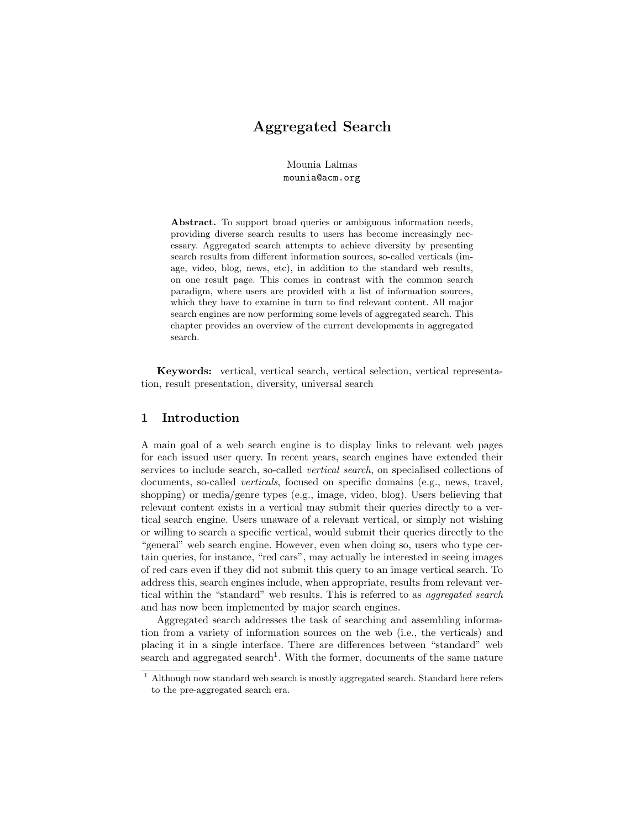# Aggregated Search

Mounia Lalmas mounia@acm.org

Abstract. To support broad queries or ambiguous information needs, providing diverse search results to users has become increasingly necessary. Aggregated search attempts to achieve diversity by presenting search results from different information sources, so-called verticals (image, video, blog, news, etc), in addition to the standard web results, on one result page. This comes in contrast with the common search paradigm, where users are provided with a list of information sources, which they have to examine in turn to find relevant content. All major search engines are now performing some levels of aggregated search. This chapter provides an overview of the current developments in aggregated search.

Keywords: vertical, vertical search, vertical selection, vertical representation, result presentation, diversity, universal search

## 1 Introduction

A main goal of a web search engine is to display links to relevant web pages for each issued user query. In recent years, search engines have extended their services to include search, so-called vertical search, on specialised collections of documents, so-called *verticals*, focused on specific domains (e.g., news, travel, shopping) or media/genre types (e.g., image, video, blog). Users believing that relevant content exists in a vertical may submit their queries directly to a vertical search engine. Users unaware of a relevant vertical, or simply not wishing or willing to search a specific vertical, would submit their queries directly to the "general" web search engine. However, even when doing so, users who type certain queries, for instance, "red cars", may actually be interested in seeing images of red cars even if they did not submit this query to an image vertical search. To address this, search engines include, when appropriate, results from relevant vertical within the "standard" web results. This is referred to as aggregated search and has now been implemented by major search engines.

Aggregated search addresses the task of searching and assembling information from a variety of information sources on the web (i.e., the verticals) and placing it in a single interface. There are differences between "standard" web search and aggregated search<sup>1</sup>. With the former, documents of the same nature

<sup>1</sup> Although now standard web search is mostly aggregated search. Standard here refers to the pre-aggregated search era.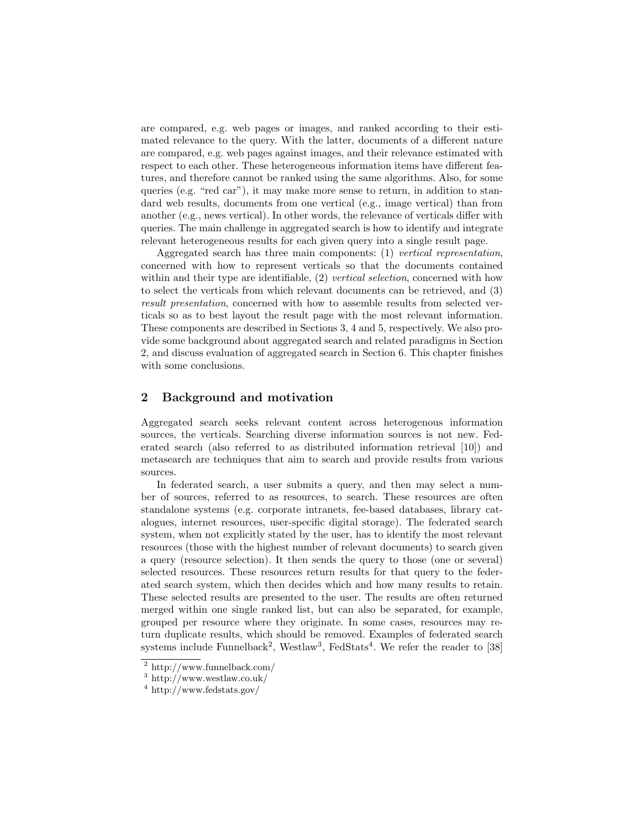are compared, e.g. web pages or images, and ranked according to their estimated relevance to the query. With the latter, documents of a different nature are compared, e.g. web pages against images, and their relevance estimated with respect to each other. These heterogeneous information items have different features, and therefore cannot be ranked using the same algorithms. Also, for some queries (e.g. "red car"), it may make more sense to return, in addition to standard web results, documents from one vertical (e.g., image vertical) than from another (e.g., news vertical). In other words, the relevance of verticals differ with queries. The main challenge in aggregated search is how to identify and integrate relevant heterogeneous results for each given query into a single result page.

Aggregated search has three main components: (1) vertical representation, concerned with how to represent verticals so that the documents contained within and their type are identifiable, (2) vertical selection, concerned with how to select the verticals from which relevant documents can be retrieved, and (3) result presentation, concerned with how to assemble results from selected verticals so as to best layout the result page with the most relevant information. These components are described in Sections 3, 4 and 5, respectively. We also provide some background about aggregated search and related paradigms in Section 2, and discuss evaluation of aggregated search in Section 6. This chapter finishes with some conclusions.

## 2 Background and motivation

Aggregated search seeks relevant content across heterogenous information sources, the verticals. Searching diverse information sources is not new. Federated search (also referred to as distributed information retrieval [10]) and metasearch are techniques that aim to search and provide results from various sources.

In federated search, a user submits a query, and then may select a number of sources, referred to as resources, to search. These resources are often standalone systems (e.g. corporate intranets, fee-based databases, library catalogues, internet resources, user-specific digital storage). The federated search system, when not explicitly stated by the user, has to identify the most relevant resources (those with the highest number of relevant documents) to search given a query (resource selection). It then sends the query to those (one or several) selected resources. These resources return results for that query to the federated search system, which then decides which and how many results to retain. These selected results are presented to the user. The results are often returned merged within one single ranked list, but can also be separated, for example, grouped per resource where they originate. In some cases, resources may return duplicate results, which should be removed. Examples of federated search systems include Funnelback<sup>2</sup>, Westlaw<sup>3</sup>, FedStats<sup>4</sup>. We refer the reader to [38]

<sup>2</sup> http://www.funnelback.com/

<sup>3</sup> http://www.westlaw.co.uk/

<sup>4</sup> http://www.fedstats.gov/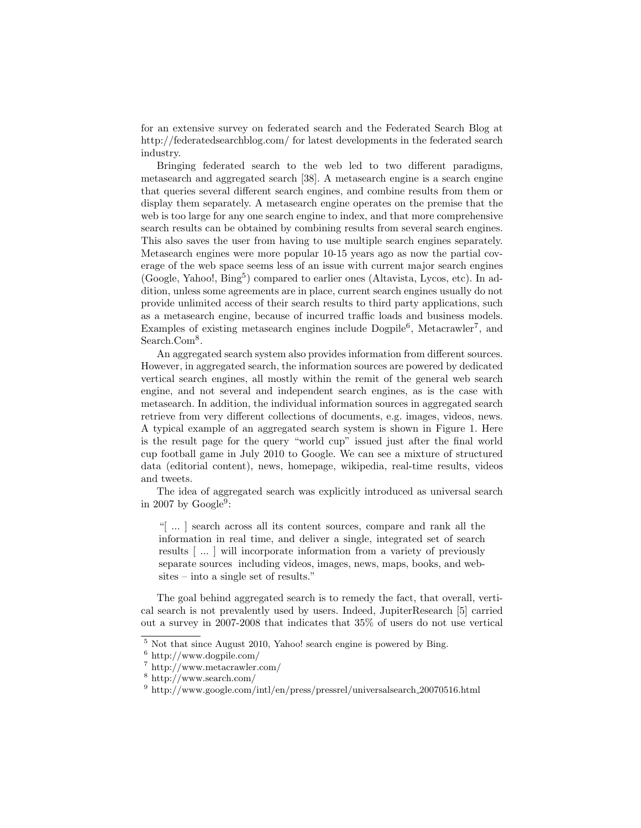for an extensive survey on federated search and the Federated Search Blog at http://federatedsearchblog.com/ for latest developments in the federated search industry.

Bringing federated search to the web led to two different paradigms, metasearch and aggregated search [38]. A metasearch engine is a search engine that queries several different search engines, and combine results from them or display them separately. A metasearch engine operates on the premise that the web is too large for any one search engine to index, and that more comprehensive search results can be obtained by combining results from several search engines. This also saves the user from having to use multiple search engines separately. Metasearch engines were more popular 10-15 years ago as now the partial coverage of the web space seems less of an issue with current major search engines (Google, Yahoo!, Bing<sup>5</sup>) compared to earlier ones (Altavista, Lycos, etc). In addition, unless some agreements are in place, current search engines usually do not provide unlimited access of their search results to third party applications, such as a metasearch engine, because of incurred traffic loads and business models. Examples of existing metasearch engines include Dogpile<sup>6</sup>, Metacrawler<sup>7</sup>, and Search.Com<sup>8</sup>.

An aggregated search system also provides information from different sources. However, in aggregated search, the information sources are powered by dedicated vertical search engines, all mostly within the remit of the general web search engine, and not several and independent search engines, as is the case with metasearch. In addition, the individual information sources in aggregated search retrieve from very different collections of documents, e.g. images, videos, news. A typical example of an aggregated search system is shown in Figure 1. Here is the result page for the query "world cup" issued just after the final world cup football game in July 2010 to Google. We can see a mixture of structured data (editorial content), news, homepage, wikipedia, real-time results, videos and tweets.

The idea of aggregated search was explicitly introduced as universal search in 2007 by  $Google<sup>9</sup>$ :

"[ ... ] search across all its content sources, compare and rank all the information in real time, and deliver a single, integrated set of search results [ ... ] will incorporate information from a variety of previously separate sources including videos, images, news, maps, books, and websites – into a single set of results."

The goal behind aggregated search is to remedy the fact, that overall, vertical search is not prevalently used by users. Indeed, JupiterResearch [5] carried out a survey in 2007-2008 that indicates that 35% of users do not use vertical

<sup>&</sup>lt;sup>5</sup> Not that since August 2010, Yahoo! search engine is powered by Bing.

 $6$  http://www.dogpile.com/

<sup>7</sup> http://www.metacrawler.com/

<sup>8</sup> http://www.search.com/

<sup>9</sup> http://www.google.com/intl/en/press/pressrel/universalsearch 20070516.html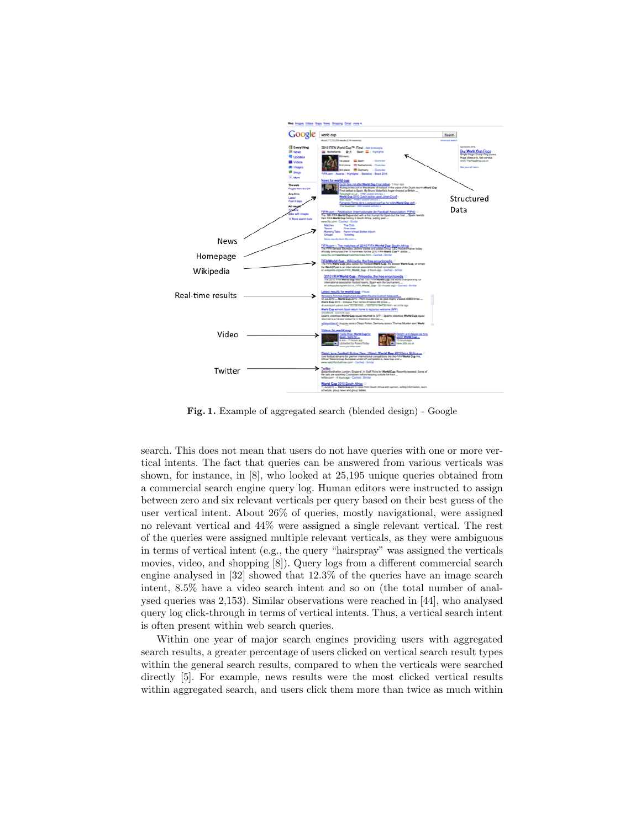

Fig. 1. Example of aggregated search (blended design) - Google

search. This does not mean that users do not have queries with one or more vertical intents. The fact that queries can be answered from various verticals was shown, for instance, in [8], who looked at 25,195 unique queries obtained from a commercial search engine query log. Human editors were instructed to assign between zero and six relevant verticals per query based on their best guess of the user vertical intent. About 26% of queries, mostly navigational, were assigned no relevant vertical and 44% were assigned a single relevant vertical. The rest of the queries were assigned multiple relevant verticals, as they were ambiguous in terms of vertical intent (e.g., the query "hairspray" was assigned the verticals movies, video, and shopping [8]). Query logs from a different commercial search engine analysed in [32] showed that 12.3% of the queries have an image search intent, 8.5% have a video search intent and so on (the total number of analysed queries was 2,153). Similar observations were reached in [44], who analysed query log click-through in terms of vertical intents. Thus, a vertical search intent is often present within web search queries.

Within one year of major search engines providing users with aggregated search results, a greater percentage of users clicked on vertical search result types within the general search results, compared to when the verticals were searched directly [5]. For example, news results were the most clicked vertical results within aggregated search, and users click them more than twice as much within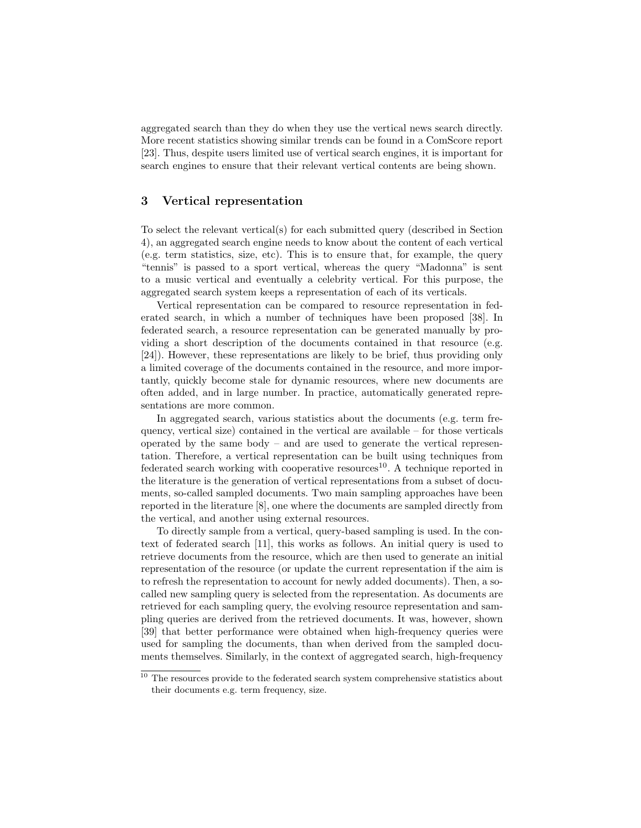aggregated search than they do when they use the vertical news search directly. More recent statistics showing similar trends can be found in a ComScore report [23]. Thus, despite users limited use of vertical search engines, it is important for search engines to ensure that their relevant vertical contents are being shown.

# 3 Vertical representation

To select the relevant vertical(s) for each submitted query (described in Section 4), an aggregated search engine needs to know about the content of each vertical (e.g. term statistics, size, etc). This is to ensure that, for example, the query "tennis" is passed to a sport vertical, whereas the query "Madonna" is sent to a music vertical and eventually a celebrity vertical. For this purpose, the aggregated search system keeps a representation of each of its verticals.

Vertical representation can be compared to resource representation in federated search, in which a number of techniques have been proposed [38]. In federated search, a resource representation can be generated manually by providing a short description of the documents contained in that resource (e.g. [24]). However, these representations are likely to be brief, thus providing only a limited coverage of the documents contained in the resource, and more importantly, quickly become stale for dynamic resources, where new documents are often added, and in large number. In practice, automatically generated representations are more common.

In aggregated search, various statistics about the documents (e.g. term frequency, vertical size) contained in the vertical are available – for those verticals operated by the same body – and are used to generate the vertical representation. Therefore, a vertical representation can be built using techniques from federated search working with cooperative resources<sup>10</sup>. A technique reported in the literature is the generation of vertical representations from a subset of documents, so-called sampled documents. Two main sampling approaches have been reported in the literature [8], one where the documents are sampled directly from the vertical, and another using external resources.

To directly sample from a vertical, query-based sampling is used. In the context of federated search [11], this works as follows. An initial query is used to retrieve documents from the resource, which are then used to generate an initial representation of the resource (or update the current representation if the aim is to refresh the representation to account for newly added documents). Then, a socalled new sampling query is selected from the representation. As documents are retrieved for each sampling query, the evolving resource representation and sampling queries are derived from the retrieved documents. It was, however, shown [39] that better performance were obtained when high-frequency queries were used for sampling the documents, than when derived from the sampled documents themselves. Similarly, in the context of aggregated search, high-frequency

 $^{10}$  The resources provide to the federated search system comprehensive statistics about their documents e.g. term frequency, size.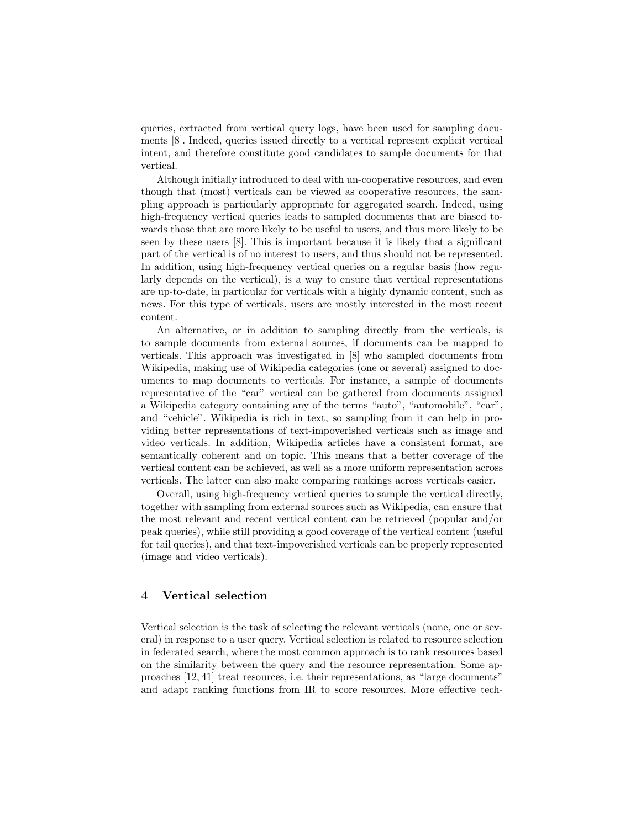queries, extracted from vertical query logs, have been used for sampling documents [8]. Indeed, queries issued directly to a vertical represent explicit vertical intent, and therefore constitute good candidates to sample documents for that vertical.

Although initially introduced to deal with un-cooperative resources, and even though that (most) verticals can be viewed as cooperative resources, the sampling approach is particularly appropriate for aggregated search. Indeed, using high-frequency vertical queries leads to sampled documents that are biased towards those that are more likely to be useful to users, and thus more likely to be seen by these users [8]. This is important because it is likely that a significant part of the vertical is of no interest to users, and thus should not be represented. In addition, using high-frequency vertical queries on a regular basis (how regularly depends on the vertical), is a way to ensure that vertical representations are up-to-date, in particular for verticals with a highly dynamic content, such as news. For this type of verticals, users are mostly interested in the most recent content.

An alternative, or in addition to sampling directly from the verticals, is to sample documents from external sources, if documents can be mapped to verticals. This approach was investigated in [8] who sampled documents from Wikipedia, making use of Wikipedia categories (one or several) assigned to documents to map documents to verticals. For instance, a sample of documents representative of the "car" vertical can be gathered from documents assigned a Wikipedia category containing any of the terms "auto", "automobile", "car", and "vehicle". Wikipedia is rich in text, so sampling from it can help in providing better representations of text-impoverished verticals such as image and video verticals. In addition, Wikipedia articles have a consistent format, are semantically coherent and on topic. This means that a better coverage of the vertical content can be achieved, as well as a more uniform representation across verticals. The latter can also make comparing rankings across verticals easier.

Overall, using high-frequency vertical queries to sample the vertical directly, together with sampling from external sources such as Wikipedia, can ensure that the most relevant and recent vertical content can be retrieved (popular and/or peak queries), while still providing a good coverage of the vertical content (useful for tail queries), and that text-impoverished verticals can be properly represented (image and video verticals).

#### 4 Vertical selection

Vertical selection is the task of selecting the relevant verticals (none, one or several) in response to a user query. Vertical selection is related to resource selection in federated search, where the most common approach is to rank resources based on the similarity between the query and the resource representation. Some approaches [12, 41] treat resources, i.e. their representations, as "large documents" and adapt ranking functions from IR to score resources. More effective tech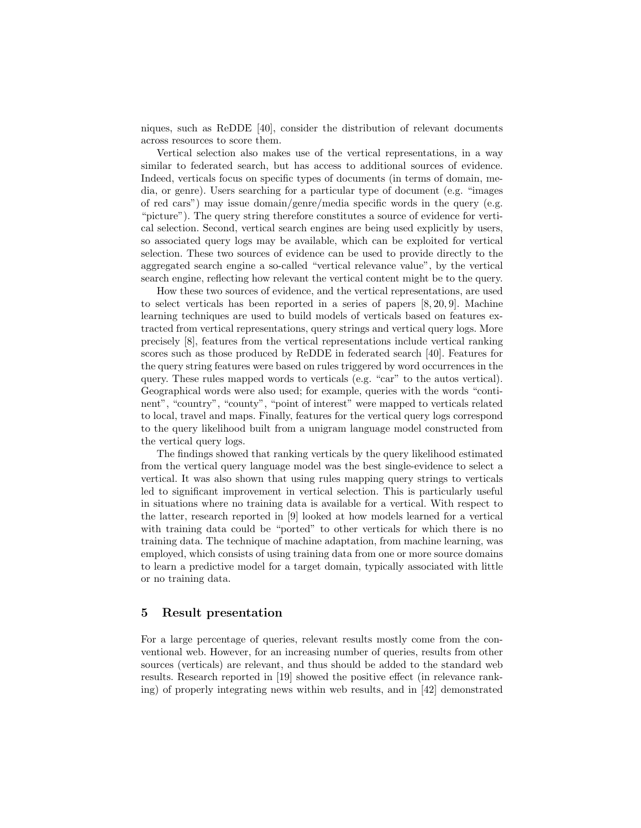niques, such as ReDDE [40], consider the distribution of relevant documents across resources to score them.

Vertical selection also makes use of the vertical representations, in a way similar to federated search, but has access to additional sources of evidence. Indeed, verticals focus on specific types of documents (in terms of domain, media, or genre). Users searching for a particular type of document (e.g. "images of red cars") may issue domain/genre/media specific words in the query (e.g. "picture"). The query string therefore constitutes a source of evidence for vertical selection. Second, vertical search engines are being used explicitly by users, so associated query logs may be available, which can be exploited for vertical selection. These two sources of evidence can be used to provide directly to the aggregated search engine a so-called "vertical relevance value", by the vertical search engine, reflecting how relevant the vertical content might be to the query.

How these two sources of evidence, and the vertical representations, are used to select verticals has been reported in a series of papers [8, 20, 9]. Machine learning techniques are used to build models of verticals based on features extracted from vertical representations, query strings and vertical query logs. More precisely [8], features from the vertical representations include vertical ranking scores such as those produced by ReDDE in federated search [40]. Features for the query string features were based on rules triggered by word occurrences in the query. These rules mapped words to verticals (e.g. "car" to the autos vertical). Geographical words were also used; for example, queries with the words "continent", "country", "county", "point of interest" were mapped to verticals related to local, travel and maps. Finally, features for the vertical query logs correspond to the query likelihood built from a unigram language model constructed from the vertical query logs.

The findings showed that ranking verticals by the query likelihood estimated from the vertical query language model was the best single-evidence to select a vertical. It was also shown that using rules mapping query strings to verticals led to significant improvement in vertical selection. This is particularly useful in situations where no training data is available for a vertical. With respect to the latter, research reported in [9] looked at how models learned for a vertical with training data could be "ported" to other verticals for which there is no training data. The technique of machine adaptation, from machine learning, was employed, which consists of using training data from one or more source domains to learn a predictive model for a target domain, typically associated with little or no training data.

#### 5 Result presentation

For a large percentage of queries, relevant results mostly come from the conventional web. However, for an increasing number of queries, results from other sources (verticals) are relevant, and thus should be added to the standard web results. Research reported in [19] showed the positive effect (in relevance ranking) of properly integrating news within web results, and in [42] demonstrated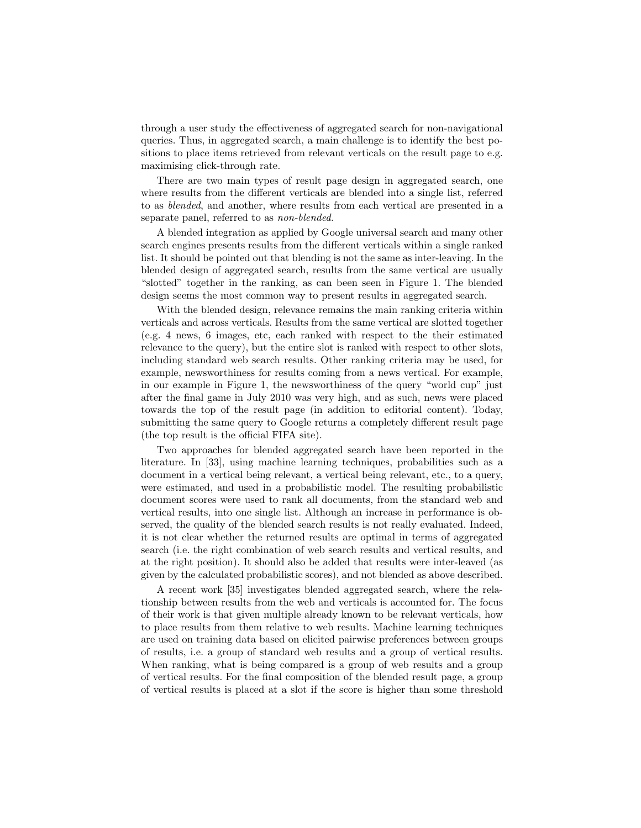through a user study the effectiveness of aggregated search for non-navigational queries. Thus, in aggregated search, a main challenge is to identify the best positions to place items retrieved from relevant verticals on the result page to e.g. maximising click-through rate.

There are two main types of result page design in aggregated search, one where results from the different verticals are blended into a single list, referred to as blended, and another, where results from each vertical are presented in a separate panel, referred to as non-blended.

A blended integration as applied by Google universal search and many other search engines presents results from the different verticals within a single ranked list. It should be pointed out that blending is not the same as inter-leaving. In the blended design of aggregated search, results from the same vertical are usually "slotted" together in the ranking, as can been seen in Figure 1. The blended design seems the most common way to present results in aggregated search.

With the blended design, relevance remains the main ranking criteria within verticals and across verticals. Results from the same vertical are slotted together (e.g. 4 news, 6 images, etc, each ranked with respect to the their estimated relevance to the query), but the entire slot is ranked with respect to other slots, including standard web search results. Other ranking criteria may be used, for example, newsworthiness for results coming from a news vertical. For example, in our example in Figure 1, the newsworthiness of the query "world cup" just after the final game in July 2010 was very high, and as such, news were placed towards the top of the result page (in addition to editorial content). Today, submitting the same query to Google returns a completely different result page (the top result is the official FIFA site).

Two approaches for blended aggregated search have been reported in the literature. In [33], using machine learning techniques, probabilities such as a document in a vertical being relevant, a vertical being relevant, etc., to a query, were estimated, and used in a probabilistic model. The resulting probabilistic document scores were used to rank all documents, from the standard web and vertical results, into one single list. Although an increase in performance is observed, the quality of the blended search results is not really evaluated. Indeed, it is not clear whether the returned results are optimal in terms of aggregated search (i.e. the right combination of web search results and vertical results, and at the right position). It should also be added that results were inter-leaved (as given by the calculated probabilistic scores), and not blended as above described.

A recent work [35] investigates blended aggregated search, where the relationship between results from the web and verticals is accounted for. The focus of their work is that given multiple already known to be relevant verticals, how to place results from them relative to web results. Machine learning techniques are used on training data based on elicited pairwise preferences between groups of results, i.e. a group of standard web results and a group of vertical results. When ranking, what is being compared is a group of web results and a group of vertical results. For the final composition of the blended result page, a group of vertical results is placed at a slot if the score is higher than some threshold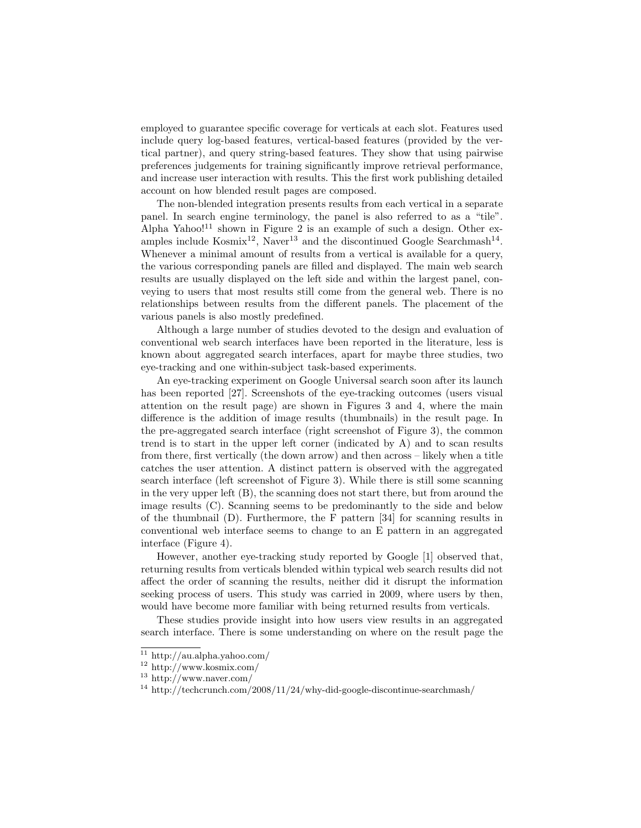employed to guarantee specific coverage for verticals at each slot. Features used include query log-based features, vertical-based features (provided by the vertical partner), and query string-based features. They show that using pairwise preferences judgements for training significantly improve retrieval performance, and increase user interaction with results. This the first work publishing detailed account on how blended result pages are composed.

The non-blended integration presents results from each vertical in a separate panel. In search engine terminology, the panel is also referred to as a "tile". Alpha Yahoo!<sup>11</sup> shown in Figure 2 is an example of such a design. Other examples include Kosmix<sup>12</sup>, Naver<sup>13</sup> and the discontinued Google Searchmash<sup>14</sup>. Whenever a minimal amount of results from a vertical is available for a query, the various corresponding panels are filled and displayed. The main web search results are usually displayed on the left side and within the largest panel, conveying to users that most results still come from the general web. There is no relationships between results from the different panels. The placement of the various panels is also mostly predefined.

Although a large number of studies devoted to the design and evaluation of conventional web search interfaces have been reported in the literature, less is known about aggregated search interfaces, apart for maybe three studies, two eye-tracking and one within-subject task-based experiments.

An eye-tracking experiment on Google Universal search soon after its launch has been reported [27]. Screenshots of the eye-tracking outcomes (users visual attention on the result page) are shown in Figures 3 and 4, where the main difference is the addition of image results (thumbnails) in the result page. In the pre-aggregated search interface (right screenshot of Figure 3), the common trend is to start in the upper left corner (indicated by A) and to scan results from there, first vertically (the down arrow) and then across – likely when a title catches the user attention. A distinct pattern is observed with the aggregated search interface (left screenshot of Figure 3). While there is still some scanning in the very upper left (B), the scanning does not start there, but from around the image results (C). Scanning seems to be predominantly to the side and below of the thumbnail (D). Furthermore, the F pattern [34] for scanning results in conventional web interface seems to change to an E pattern in an aggregated interface (Figure 4).

However, another eye-tracking study reported by Google [1] observed that, returning results from verticals blended within typical web search results did not affect the order of scanning the results, neither did it disrupt the information seeking process of users. This study was carried in 2009, where users by then, would have become more familiar with being returned results from verticals.

These studies provide insight into how users view results in an aggregated search interface. There is some understanding on where on the result page the

 $11$  http://au.alpha.yahoo.com/

<sup>12</sup> http://www.kosmix.com/

 $13 \text{ http://www.naver.com/}$ 

 $14 \text{ http://technurch.com/2008/11/24/why-did-google-discontinue-searchmask/}$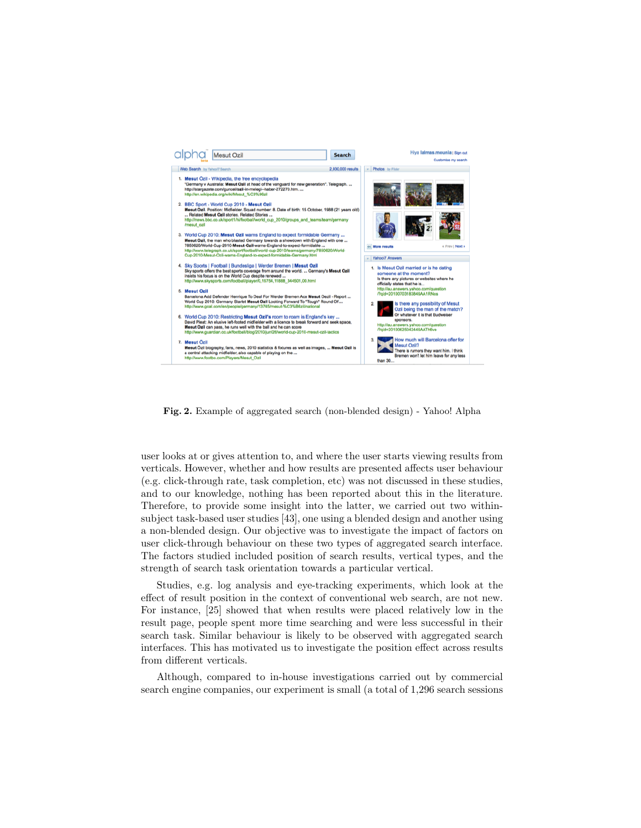

Fig. 2. Example of aggregated search (non-blended design) - Yahoo! Alpha

user looks at or gives attention to, and where the user starts viewing results from verticals. However, whether and how results are presented affects user behaviour (e.g. click-through rate, task completion, etc) was not discussed in these studies, and to our knowledge, nothing has been reported about this in the literature. Therefore, to provide some insight into the latter, we carried out two withinsubject task-based user studies [43], one using a blended design and another using a non-blended design. Our objective was to investigate the impact of factors on user click-through behaviour on these two types of aggregated search interface. The factors studied included position of search results, vertical types, and the strength of search task orientation towards a particular vertical.

Studies, e.g. log analysis and eye-tracking experiments, which look at the effect of result position in the context of conventional web search, are not new. For instance, [25] showed that when results were placed relatively low in the result page, people spent more time searching and were less successful in their search task. Similar behaviour is likely to be observed with aggregated search interfaces. This has motivated us to investigate the position effect across results from different verticals.

Although, compared to in-house investigations carried out by commercial search engine companies, our experiment is small (a total of 1,296 search sessions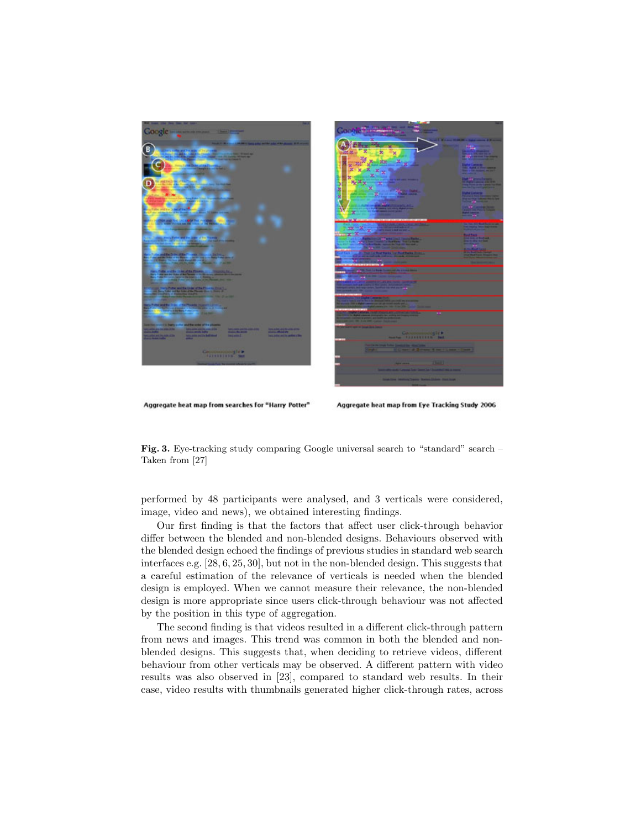

Aggregate heat map from searches for "Harry Potter"

Aggregate heat map from Eye Tracking Study 2006

Fig. 3. Eye-tracking study comparing Google universal search to "standard" search – Taken from [27]

performed by 48 participants were analysed, and 3 verticals were considered, image, video and news), we obtained interesting findings.

Our first finding is that the factors that affect user click-through behavior differ between the blended and non-blended designs. Behaviours observed with the blended design echoed the findings of previous studies in standard web search interfaces e.g. [28, 6, 25, 30], but not in the non-blended design. This suggests that a careful estimation of the relevance of verticals is needed when the blended design is employed. When we cannot measure their relevance, the non-blended design is more appropriate since users click-through behaviour was not affected by the position in this type of aggregation.

The second finding is that videos resulted in a different click-through pattern from news and images. This trend was common in both the blended and nonblended designs. This suggests that, when deciding to retrieve videos, different behaviour from other verticals may be observed. A different pattern with video results was also observed in [23], compared to standard web results. In their case, video results with thumbnails generated higher click-through rates, across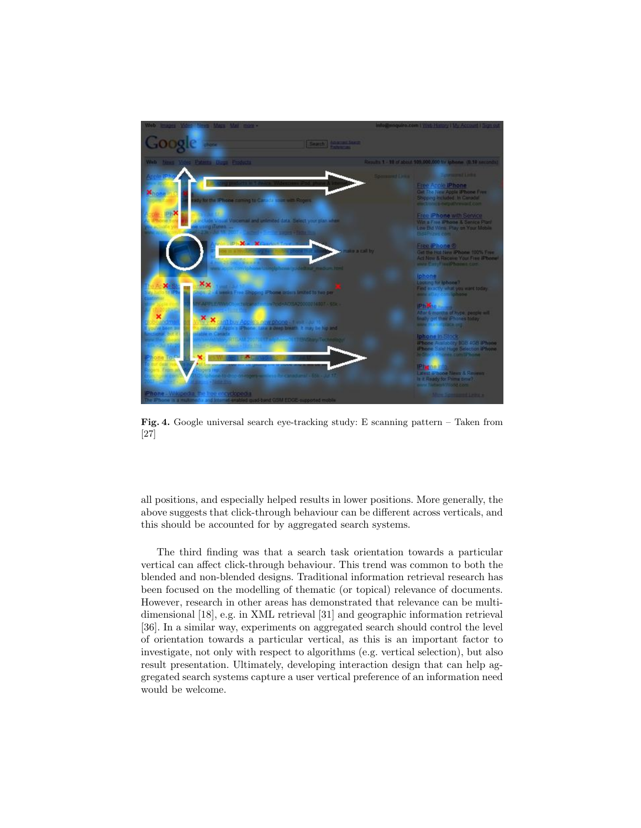

Fig. 4. Google universal search eye-tracking study: E scanning pattern – Taken from [27]

all positions, and especially helped results in lower positions. More generally, the above suggests that click-through behaviour can be different across verticals, and this should be accounted for by aggregated search systems.

The third finding was that a search task orientation towards a particular vertical can affect click-through behaviour. This trend was common to both the blended and non-blended designs. Traditional information retrieval research has been focused on the modelling of thematic (or topical) relevance of documents. However, research in other areas has demonstrated that relevance can be multidimensional [18], e.g. in XML retrieval [31] and geographic information retrieval [36]. In a similar way, experiments on aggregated search should control the level of orientation towards a particular vertical, as this is an important factor to investigate, not only with respect to algorithms (e.g. vertical selection), but also result presentation. Ultimately, developing interaction design that can help aggregated search systems capture a user vertical preference of an information need would be welcome.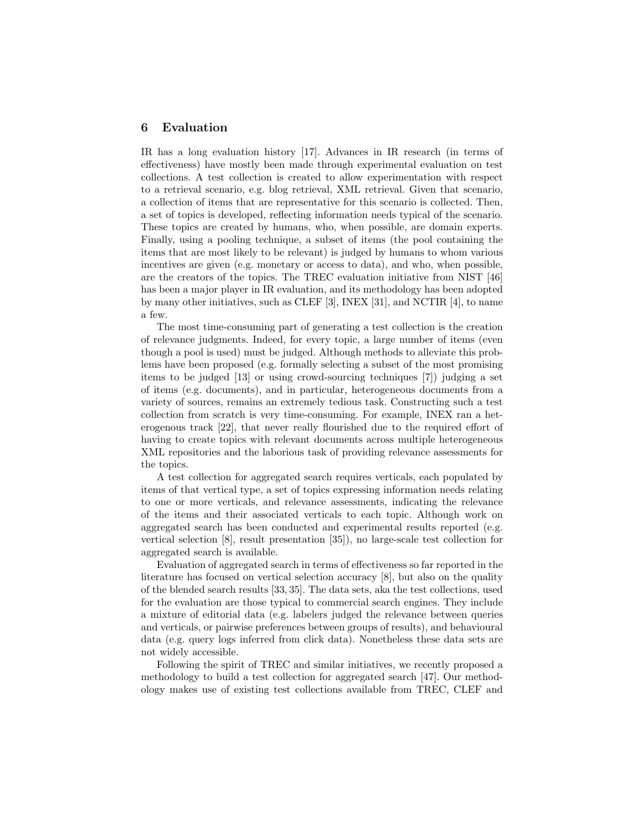# 6 Evaluation

IR has a long evaluation history [17]. Advances in IR research (in terms of effectiveness) have mostly been made through experimental evaluation on test collections. A test collection is created to allow experimentation with respect to a retrieval scenario, e.g. blog retrieval, XML retrieval. Given that scenario, a collection of items that are representative for this scenario is collected. Then, a set of topics is developed, reflecting information needs typical of the scenario. These topics are created by humans, who, when possible, are domain experts. Finally, using a pooling technique, a subset of items (the pool containing the items that are most likely to be relevant) is judged by humans to whom various incentives are given (e.g. monetary or access to data), and who, when possible, are the creators of the topics. The TREC evaluation initiative from NIST [46] has been a major player in IR evaluation, and its methodology has been adopted by many other initiatives, such as CLEF [3], INEX [31], and NCTIR [4], to name a few.

The most time-consuming part of generating a test collection is the creation of relevance judgments. Indeed, for every topic, a large number of items (even though a pool is used) must be judged. Although methods to alleviate this problems have been proposed (e.g. formally selecting a subset of the most promising items to be judged [13] or using crowd-sourcing techniques [7]) judging a set of items (e.g. documents), and in particular, heterogeneous documents from a variety of sources, remains an extremely tedious task. Constructing such a test collection from scratch is very time-consuming. For example, INEX ran a heterogenous track [22], that never really flourished due to the required effort of having to create topics with relevant documents across multiple heterogeneous XML repositories and the laborious task of providing relevance assessments for the topics.

A test collection for aggregated search requires verticals, each populated by items of that vertical type, a set of topics expressing information needs relating to one or more verticals, and relevance assessments, indicating the relevance of the items and their associated verticals to each topic. Although work on aggregated search has been conducted and experimental results reported (e.g. vertical selection [8], result presentation [35]), no large-scale test collection for aggregated search is available.

Evaluation of aggregated search in terms of effectiveness so far reported in the literature has focused on vertical selection accuracy [8], but also on the quality of the blended search results [33, 35]. The data sets, aka the test collections, used for the evaluation are those typical to commercial search engines. They include a mixture of editorial data (e.g. labelers judged the relevance between queries and verticals, or pairwise preferences between groups of results), and behavioural data (e.g. query logs inferred from click data). Nonetheless these data sets are not widely accessible.

Following the spirit of TREC and similar initiatives, we recently proposed a methodology to build a test collection for aggregated search [47]. Our methodology makes use of existing test collections available from TREC, CLEF and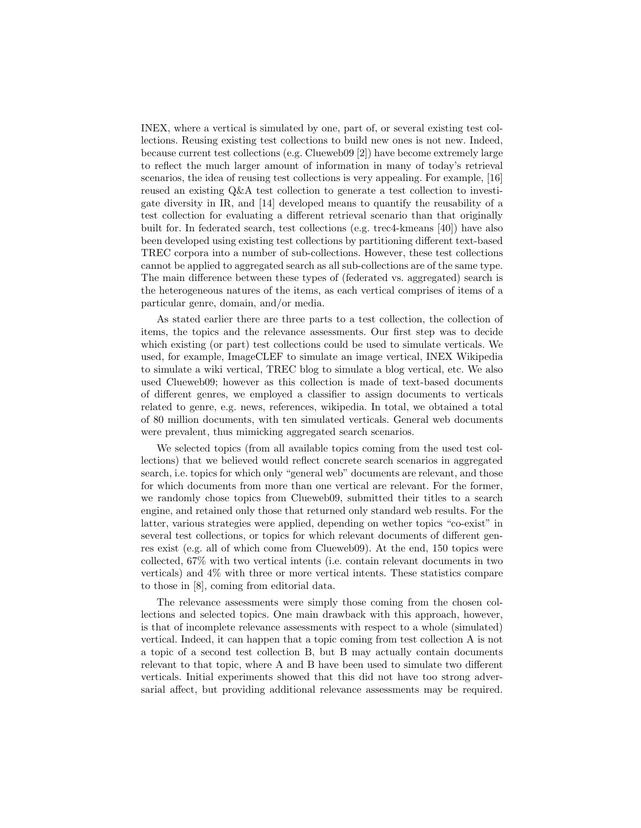INEX, where a vertical is simulated by one, part of, or several existing test collections. Reusing existing test collections to build new ones is not new. Indeed, because current test collections (e.g. Clueweb09 [2]) have become extremely large to reflect the much larger amount of information in many of today's retrieval scenarios, the idea of reusing test collections is very appealing. For example, [16] reused an existing Q&A test collection to generate a test collection to investigate diversity in IR, and [14] developed means to quantify the reusability of a test collection for evaluating a different retrieval scenario than that originally built for. In federated search, test collections (e.g. trec4-kmeans [40]) have also been developed using existing test collections by partitioning different text-based TREC corpora into a number of sub-collections. However, these test collections cannot be applied to aggregated search as all sub-collections are of the same type. The main difference between these types of (federated vs. aggregated) search is the heterogeneous natures of the items, as each vertical comprises of items of a particular genre, domain, and/or media.

As stated earlier there are three parts to a test collection, the collection of items, the topics and the relevance assessments. Our first step was to decide which existing (or part) test collections could be used to simulate verticals. We used, for example, ImageCLEF to simulate an image vertical, INEX Wikipedia to simulate a wiki vertical, TREC blog to simulate a blog vertical, etc. We also used Clueweb09; however as this collection is made of text-based documents of different genres, we employed a classifier to assign documents to verticals related to genre, e.g. news, references, wikipedia. In total, we obtained a total of 80 million documents, with ten simulated verticals. General web documents were prevalent, thus mimicking aggregated search scenarios.

We selected topics (from all available topics coming from the used test collections) that we believed would reflect concrete search scenarios in aggregated search, i.e. topics for which only "general web" documents are relevant, and those for which documents from more than one vertical are relevant. For the former, we randomly chose topics from Clueweb09, submitted their titles to a search engine, and retained only those that returned only standard web results. For the latter, various strategies were applied, depending on wether topics "co-exist" in several test collections, or topics for which relevant documents of different genres exist (e.g. all of which come from Clueweb09). At the end, 150 topics were collected, 67% with two vertical intents (i.e. contain relevant documents in two verticals) and 4% with three or more vertical intents. These statistics compare to those in [8], coming from editorial data.

The relevance assessments were simply those coming from the chosen collections and selected topics. One main drawback with this approach, however, is that of incomplete relevance assessments with respect to a whole (simulated) vertical. Indeed, it can happen that a topic coming from test collection A is not a topic of a second test collection B, but B may actually contain documents relevant to that topic, where A and B have been used to simulate two different verticals. Initial experiments showed that this did not have too strong adversarial affect, but providing additional relevance assessments may be required.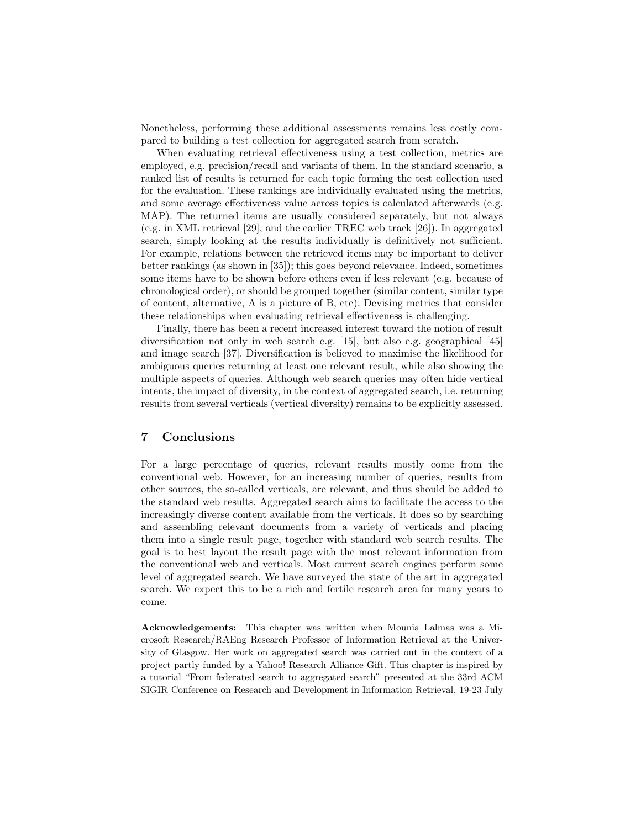Nonetheless, performing these additional assessments remains less costly compared to building a test collection for aggregated search from scratch.

When evaluating retrieval effectiveness using a test collection, metrics are employed, e.g. precision/recall and variants of them. In the standard scenario, a ranked list of results is returned for each topic forming the test collection used for the evaluation. These rankings are individually evaluated using the metrics, and some average effectiveness value across topics is calculated afterwards (e.g. MAP). The returned items are usually considered separately, but not always (e.g. in XML retrieval [29], and the earlier TREC web track [26]). In aggregated search, simply looking at the results individually is definitively not sufficient. For example, relations between the retrieved items may be important to deliver better rankings (as shown in [35]); this goes beyond relevance. Indeed, sometimes some items have to be shown before others even if less relevant (e.g. because of chronological order), or should be grouped together (similar content, similar type of content, alternative, A is a picture of B, etc). Devising metrics that consider these relationships when evaluating retrieval effectiveness is challenging.

Finally, there has been a recent increased interest toward the notion of result diversification not only in web search e.g. [15], but also e.g. geographical [45] and image search [37]. Diversification is believed to maximise the likelihood for ambiguous queries returning at least one relevant result, while also showing the multiple aspects of queries. Although web search queries may often hide vertical intents, the impact of diversity, in the context of aggregated search, i.e. returning results from several verticals (vertical diversity) remains to be explicitly assessed.

# 7 Conclusions

For a large percentage of queries, relevant results mostly come from the conventional web. However, for an increasing number of queries, results from other sources, the so-called verticals, are relevant, and thus should be added to the standard web results. Aggregated search aims to facilitate the access to the increasingly diverse content available from the verticals. It does so by searching and assembling relevant documents from a variety of verticals and placing them into a single result page, together with standard web search results. The goal is to best layout the result page with the most relevant information from the conventional web and verticals. Most current search engines perform some level of aggregated search. We have surveyed the state of the art in aggregated search. We expect this to be a rich and fertile research area for many years to come.

Acknowledgements: This chapter was written when Mounia Lalmas was a Microsoft Research/RAEng Research Professor of Information Retrieval at the University of Glasgow. Her work on aggregated search was carried out in the context of a project partly funded by a Yahoo! Research Alliance Gift. This chapter is inspired by a tutorial "From federated search to aggregated search" presented at the 33rd ACM SIGIR Conference on Research and Development in Information Retrieval, 19-23 July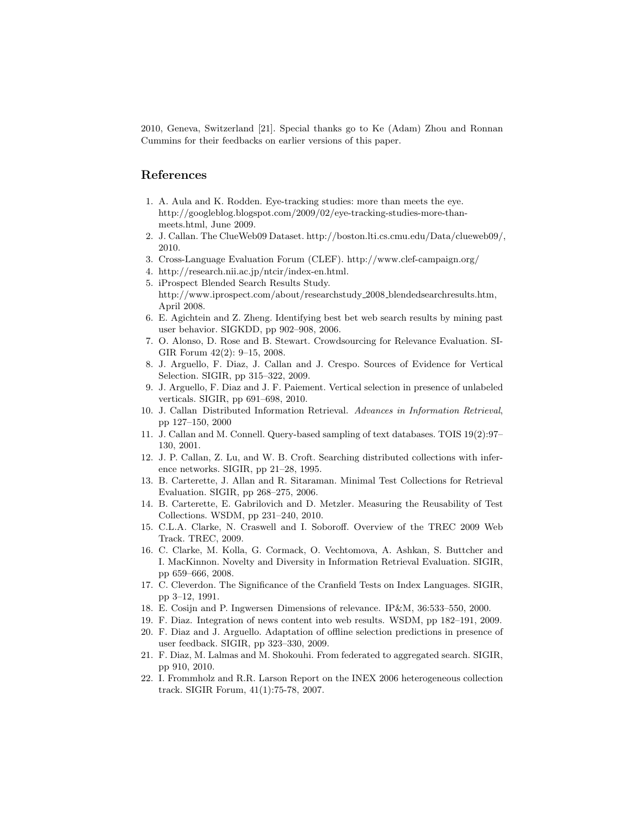2010, Geneva, Switzerland [21]. Special thanks go to Ke (Adam) Zhou and Ronnan Cummins for their feedbacks on earlier versions of this paper.

## References

- 1. A. Aula and K. Rodden. Eye-tracking studies: more than meets the eye. http://googleblog.blogspot.com/2009/02/eye-tracking-studies-more-thanmeets.html, June 2009.
- 2. J. Callan. The ClueWeb09 Dataset. http://boston.lti.cs.cmu.edu/Data/clueweb09/, 2010.
- 3. Cross-Language Evaluation Forum (CLEF). http://www.clef-campaign.org/
- 4. http://research.nii.ac.jp/ntcir/index-en.html.
- 5. iProspect Blended Search Results Study.
- http://www.iprospect.com/about/researchstudy 2008 blendedsearchresults.htm, April 2008.
- 6. E. Agichtein and Z. Zheng. Identifying best bet web search results by mining past user behavior. SIGKDD, pp 902–908, 2006.
- 7. O. Alonso, D. Rose and B. Stewart. Crowdsourcing for Relevance Evaluation. SI-GIR Forum 42(2): 9–15, 2008.
- 8. J. Arguello, F. Diaz, J. Callan and J. Crespo. Sources of Evidence for Vertical Selection. SIGIR, pp 315–322, 2009.
- 9. J. Arguello, F. Diaz and J. F. Paiement. Vertical selection in presence of unlabeled verticals. SIGIR, pp 691–698, 2010.
- 10. J. Callan Distributed Information Retrieval. Advances in Information Retrieval, pp 127–150, 2000
- 11. J. Callan and M. Connell. Query-based sampling of text databases. TOIS 19(2):97– 130, 2001.
- 12. J. P. Callan, Z. Lu, and W. B. Croft. Searching distributed collections with inference networks. SIGIR, pp 21–28, 1995.
- 13. B. Carterette, J. Allan and R. Sitaraman. Minimal Test Collections for Retrieval Evaluation. SIGIR, pp 268–275, 2006.
- 14. B. Carterette, E. Gabrilovich and D. Metzler. Measuring the Reusability of Test Collections. WSDM, pp 231–240, 2010.
- 15. C.L.A. Clarke, N. Craswell and I. Soboroff. Overview of the TREC 2009 Web Track. TREC, 2009.
- 16. C. Clarke, M. Kolla, G. Cormack, O. Vechtomova, A. Ashkan, S. Buttcher and I. MacKinnon. Novelty and Diversity in Information Retrieval Evaluation. SIGIR, pp 659–666, 2008.
- 17. C. Cleverdon. The Significance of the Cranfield Tests on Index Languages. SIGIR, pp 3–12, 1991.
- 18. E. Cosijn and P. Ingwersen Dimensions of relevance. IP&M, 36:533–550, 2000.
- 19. F. Diaz. Integration of news content into web results. WSDM, pp 182–191, 2009.
- 20. F. Diaz and J. Arguello. Adaptation of offline selection predictions in presence of user feedback. SIGIR, pp 323–330, 2009.
- 21. F. Diaz, M. Lalmas and M. Shokouhi. From federated to aggregated search. SIGIR, pp 910, 2010.
- 22. I. Frommholz and R.R. Larson Report on the INEX 2006 heterogeneous collection track. SIGIR Forum, 41(1):75-78, 2007.